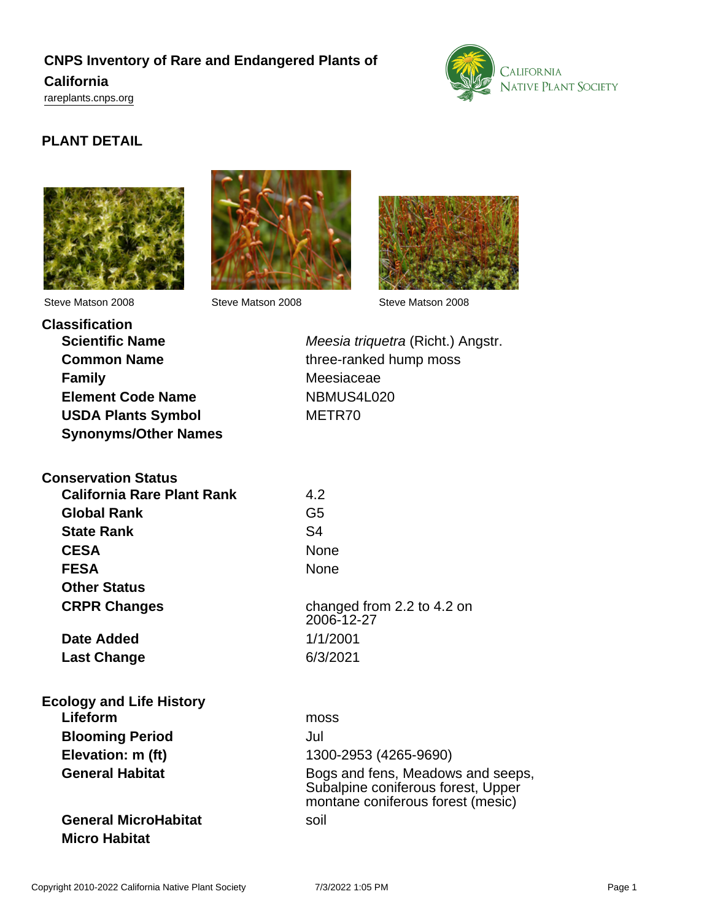# **CNPS Inventory of Rare and Endangered Plants of California**





## **PLANT DETAIL**







Steve Matson 2008 Steve Matson 2008 Steve Matson 2008

**Classification Family** Meesiaceae **Element Code Name** NBMUS4L020 **USDA Plants Symbol** METR70 **Synonyms/Other Names**

**Scientific Name** Meesia triquetra (Richt.) Angstr. **Common Name** three-ranked hump moss

| <b>Conservation Status</b>                  |                                          |
|---------------------------------------------|------------------------------------------|
| <b>California Rare Plant Rank</b>           | 4.2                                      |
| <b>Global Rank</b>                          | G5                                       |
| <b>State Rank</b>                           | S <sub>4</sub>                           |
| <b>CESA</b>                                 | <b>None</b>                              |
| <b>FESA</b>                                 | <b>None</b>                              |
| <b>Other Status</b>                         |                                          |
| <b>CRPR Changes</b>                         | changed from 2.2 to 4.2 on<br>2006-12-27 |
| Date Added                                  | 1/1/2001                                 |
| <b>Last Change</b>                          | 6/3/2021                                 |
| <b>Ecology and Life History</b><br>Lifeform | moss                                     |

**Blooming Period** Jul

**General MicroHabitat** soil **Micro Habitat**

**Elevation: m (ft)** 1300-2953 (4265-9690) General Habitat **Bogs** and fens, Meadows and seeps, Subalpine coniferous forest, Upper montane coniferous forest (mesic)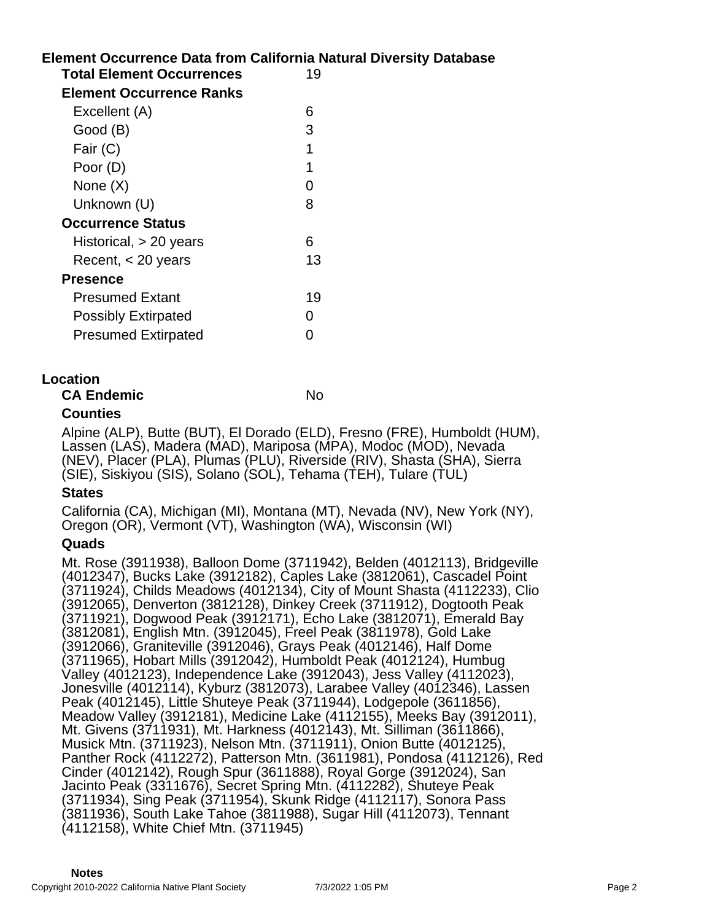## **Element Occurrence Data from California Natural Diversity Database Total Element Occurrences** 19 **Element Occurrence Ranks** Excellent (A) 6 Good (B) 3 Fair  $(C)$  1 Poor (D) 1 None  $(X)$  0 Unknown (U) 8 **Occurrence Status** Historical, > 20 years 6 Recent, < 20 years 13 **Presence**

| <b>Presumed Extant</b>     | 19       |
|----------------------------|----------|
| <b>Possibly Extirpated</b> | $\Omega$ |
| <b>Presumed Extirpated</b> | $\Omega$ |

## **Location**

**CA Endemic** No

## **Counties**

Alpine (ALP), Butte (BUT), El Dorado (ELD), Fresno (FRE), Humboldt (HUM), Lassen (LAS), Madera (MAD), Mariposa (MPA), Modoc (MOD), Nevada (NEV), Placer (PLA), Plumas (PLU), Riverside (RIV), Shasta (SHA), Sierra (SIE), Siskiyou (SIS), Solano (SOL), Tehama (TEH), Tulare (TUL)

### **States**

California (CA), Michigan (MI), Montana (MT), Nevada (NV), New York (NY), Oregon (OR), Vermont (VT), Washington (WA), Wisconsin (WI)

### **Quads**

Mt. Rose (3911938), Balloon Dome (3711942), Belden (4012113), Bridgeville (4012347), Bucks Lake (3912182), Caples Lake (3812061), Cascadel Point (3711924), Childs Meadows (4012134), City of Mount Shasta (4112233), Clio (3912065), Denverton (3812128), Dinkey Creek (3711912), Dogtooth Peak (3711921), Dogwood Peak (3912171), Echo Lake (3812071), Emerald Bay (3812081), English Mtn. (3912045), Freel Peak (3811978), Gold Lake (3912066), Graniteville (3912046), Grays Peak (4012146), Half Dome (3711965), Hobart Mills (3912042), Humboldt Peak (4012124), Humbug Valley (4012123), Independence Lake (3912043), Jess Valley (4112023), Jonesville (4012114), Kyburz (3812073), Larabee Valley (4012346), Lassen Peak (4012145), Little Shuteye Peak (3711944), Lodgepole (3611856), Meadow Valley (3912181), Medicine Lake (4112155), Meeks Bay (3912011), Mt. Givens (3711931), Mt. Harkness (4012143), Mt. Silliman (3611866), Musick Mtn. (3711923), Nelson Mtn. (3711911), Onion Butte (4012125), Panther Rock (4112272), Patterson Mtn. (3611981), Pondosa (4112126), Red Cinder (4012142), Rough Spur (3611888), Royal Gorge (3912024), San Jacinto Peak (3311676), Secret Spring Mtn. (4112282), Shuteye Peak (3711934), Sing Peak (3711954), Skunk Ridge (4112117), Sonora Pass (3811936), South Lake Tahoe (3811988), Sugar Hill (4112073), Tennant (4112158), White Chief Mtn. (3711945)